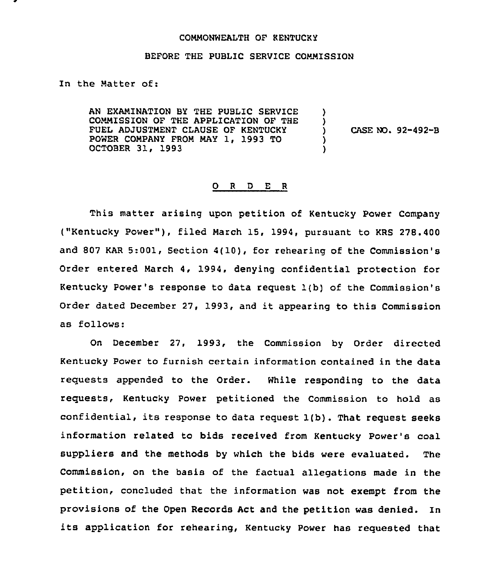## COMMONWEALTH OF KENTUCKY

## BEFORE THE PUBLIC SERVICE COMMISSION

In the Matter of:

AN EXAMINATION BY THE PUBLIC SERVICE COMMISSION OF THE APPLICATION OF THE FUEL ADJUSTMENT CLAUSE OF KENTUCKY POWER COMPANY FROM MAY 1, 1993 TO OCTOBER 31, 1993

) CASE NO. 92-492-B

) )<br>)

> ) )

## 0 <sup>R</sup> <sup>D</sup> E <sup>R</sup>

This matter arising upon petition of Kentucky Power Company ("Kentucky Power"), filed March 15, 1994, pursuant to KRS 278.400 and 807 KAR 5:001, Section 4(10}, for rehearing of the Commission's Order entered March 4, 1994, denying confidential protection for Kentucky Power's response to data request 1(b) of the Commission's Order dated December 27, 1993, and it appearing to this Commission as follows:

On December 27, 1993, the Commission by Order directed Kentucky Power to furnish certain information contained in the data requests appended to the Order. While responding to the data requests, Kentucky Power petitioned the Commission to hold as confidential, its response to data request 1(b). That request seeks information related to bids received from Kentucky Power's coal suppliers and the methods by which the bids were evaluated. The Commission, on the basis of the factual allegations made in the petition, concluded that the information was not exempt from the provisions of the Open Records Act and the petition was denied. In its application for rehearing, Kentucky Power has requested that